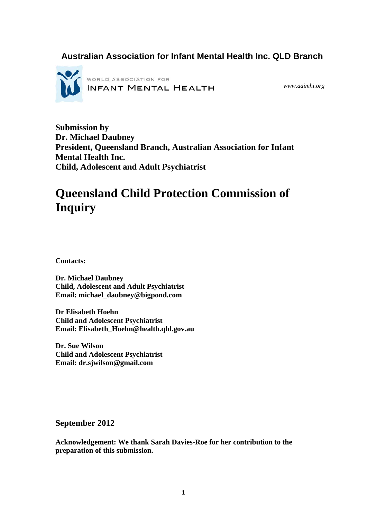## **Australian Association for Infant Mental Health Inc. QLD Branch**



*www.aaimhi.org* 

**Submission by Dr. Michael Daubney President, Queensland Branch, Australian Association for Infant Mental Health Inc. Child, Adolescent and Adult Psychiatrist** 

# **Queensland Child Protection Commission of Inquiry**

**Contacts:** 

**Dr. Michael Daubney Child, Adolescent and Adult Psychiatrist Email: michael\_daubney@bigpond.com** 

**Dr Elisabeth Hoehn Child and Adolescent Psychiatrist Email: Elisabeth\_Hoehn@health.qld.gov.au**

**Dr. Sue Wilson Child and Adolescent Psychiatrist Email: dr.sjwilson@gmail.com** 

**September 2012** 

**Acknowledgement: We thank Sarah Davies-Roe for her contribution to the preparation of this submission.**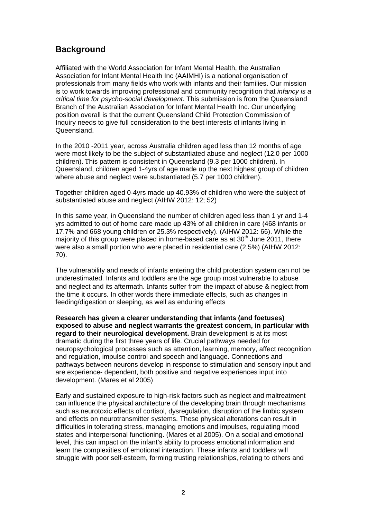## **Background**

Affiliated with the World Association for Infant Mental Health, the Australian Association for Infant Mental Health Inc (AAIMHI) is a national organisation of professionals from many fields who work with infants and their families. Our mission is to work towards improving professional and community recognition that *infancy is a critical time for psycho-social development*. This submission is from the Queensland Branch of the Australian Association for Infant Mental Health Inc. Our underlying position overall is that the current Queensland Child Protection Commission of Inquiry needs to give full consideration to the best interests of infants living in Queensland.

In the 2010 -2011 year, across Australia children aged less than 12 months of age were most likely to be the subject of substantiated abuse and neglect (12.0 per 1000 children). This pattern is consistent in Queensland (9.3 per 1000 children). In Queensland, children aged 1-4yrs of age made up the next highest group of children where abuse and neglect were substantiated (5.7 per 1000 children).

Together children aged 0-4yrs made up 40.93% of children who were the subject of substantiated abuse and neglect (AIHW 2012: 12; 52)

In this same year, in Queensland the number of children aged less than 1 yr and 1-4 yrs admitted to out of home care made up 43% of all children in care (468 infants or 17.7% and 668 young children or 25.3% respectively). (AIHW 2012: 66). While the majority of this group were placed in home-based care as at  $30<sup>th</sup>$  June 2011, there were also a small portion who were placed in residential care (2.5%) (AIHW 2012: 70).

The vulnerability and needs of infants entering the child protection system can not be underestimated. Infants and toddlers are the age group most vulnerable to abuse and neglect and its aftermath. Infants suffer from the impact of abuse & neglect from the time it occurs. In other words there immediate effects, such as changes in feeding/digestion or sleeping, as well as enduring effects

**Research has given a clearer understanding that infants (and foetuses) exposed to abuse and neglect warrants the greatest concern, in particular with regard to their neurological development.** Brain development is at its most dramatic during the first three years of life. Crucial pathways needed for neuropsychological processes such as attention, learning, memory, affect recognition and regulation, impulse control and speech and language. Connections and pathways between neurons develop in response to stimulation and sensory input and are experience- dependent, both positive and negative experiences input into development. (Mares et al 2005)

Early and sustained exposure to high-risk factors such as neglect and maltreatment can influence the physical architecture of the developing brain through mechanisms such as neurotoxic effects of cortisol, dysregulation, disruption of the limbic system and effects on neurotransmitter systems. These physical alterations can result in difficulties in tolerating stress, managing emotions and impulses, regulating mood states and interpersonal functioning. (Mares et al 2005). On a social and emotional level, this can impact on the infant's ability to process emotional information and learn the complexities of emotional interaction. These infants and toddlers will struggle with poor self-esteem, forming trusting relationships, relating to others and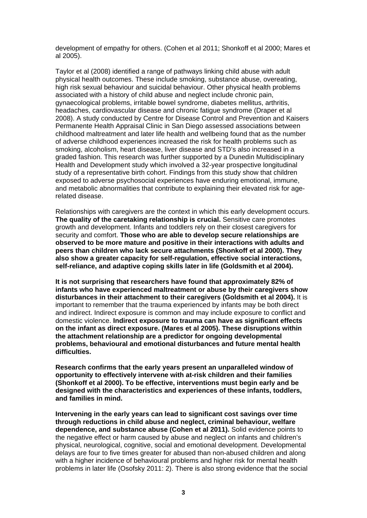development of empathy for others. (Cohen et al 2011; Shonkoff et al 2000; Mares et al 2005).

Taylor et al (2008) identified a range of pathways linking child abuse with adult physical health outcomes. These include smoking, substance abuse, overeating, high risk sexual behaviour and suicidal behaviour. Other physical health problems associated with a history of child abuse and neglect include chronic pain, gynaecological problems, irritable bowel syndrome, diabetes mellitus, arthritis, headaches, cardiovascular disease and chronic fatigue syndrome (Draper et al 2008). A study conducted by Centre for Disease Control and Prevention and Kaisers Permanente Health Appraisal Clinic in San Diego assessed associations between childhood maltreatment and later life health and wellbeing found that as the number of adverse childhood experiences increased the risk for health problems such as smoking, alcoholism, heart disease, liver disease and STD's also increased in a graded fashion. This research was further supported by a Dunedin Multidisciplinary Health and Development study which involved a 32-year prospective longitudinal study of a representative birth cohort. Findings from this study show that children exposed to adverse psychosocial experiences have enduring emotional, immune, and metabolic abnormalities that contribute to explaining their elevated risk for agerelated disease.

Relationships with caregivers are the context in which this early development occurs. **The quality of the caretaking relationship is crucial.** Sensitive care promotes growth and development. Infants and toddlers rely on their closest caregivers for security and comfort. **Those who are able to develop secure relationships are observed to be more mature and positive in their interactions with adults and peers than children who lack secure attachments (Shonkoff et al 2000). They also show a greater capacity for self-regulation, effective social interactions, self-reliance, and adaptive coping skills later in life (Goldsmith et al 2004).** 

**It is not surprising that researchers have found that approximately 82% of infants who have experienced maltreatment or abuse by their caregivers show disturbances in their attachment to their caregivers (Goldsmith et al 2004).** It is important to remember that the trauma experienced by infants may be both direct and indirect. Indirect exposure is common and may include exposure to conflict and domestic violence. **Indirect exposure to trauma can have as significant effects on the infant as direct exposure. (Mares et al 2005). These disruptions within the attachment relationship are a predictor for ongoing developmental problems, behavioural and emotional disturbances and future mental health difficulties.** 

**Research confirms that the early years present an unparalleled window of opportunity to effectively intervene with at-risk children and their families (Shonkoff et al 2000). To be effective, interventions must begin early and be designed with the characteristics and experiences of these infants, toddlers, and families in mind.** 

**Intervening in the early years can lead to significant cost savings over time through reductions in child abuse and neglect, criminal behaviour, welfare dependence, and substance abuse (Cohen et al 2011).** Solid evidence points to the negative effect or harm caused by abuse and neglect on infants and children's physical, neurological, cognitive, social and emotional development. Developmental delays are four to five times greater for abused than non-abused children and along with a higher incidence of behavioural problems and higher risk for mental health problems in later life (Osofsky 2011: 2). There is also strong evidence that the social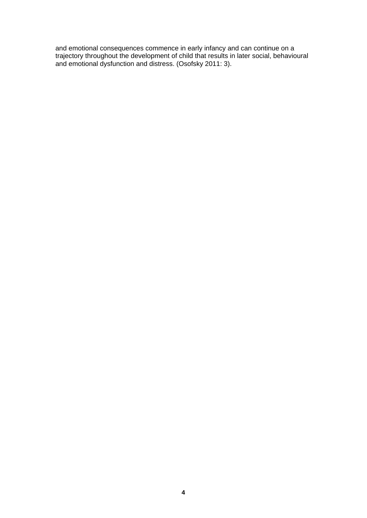and emotional consequences commence in early infancy and can continue on a trajectory throughout the development of child that results in later social, behavioural and emotional dysfunction and distress. (Osofsky 2011: 3).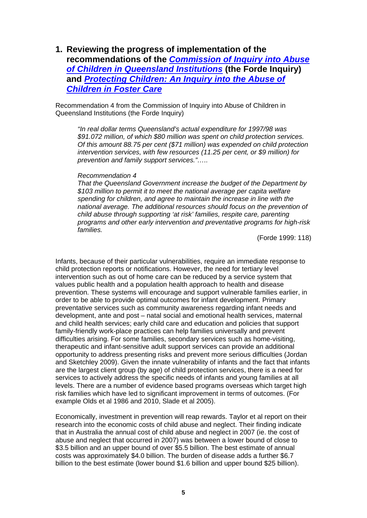**1. Reviewing the progress of implementation of the recommendations of the** *[Commission of Inquiry into Abuse](http://www.communities.qld.gov.au/resources/communityservices/community/forgotten-australians/forde-comminquiry.pdf)  [of Children in Queensland Institutions](http://www.communities.qld.gov.au/resources/communityservices/community/forgotten-australians/forde-comminquiry.pdf)* **(the Forde Inquiry) and** *[Protecting Children: An Inquiry into the Abuse of](http://www.communities.qld.gov.au/childsafety/about-us/publications/protecting-children-an-inquiry-into-abuse-of-children-in-foster-care)  [Children in Foster Care](http://www.communities.qld.gov.au/childsafety/about-us/publications/protecting-children-an-inquiry-into-abuse-of-children-in-foster-care)*

Recommendation 4 from the Commission of Inquiry into Abuse of Children in Queensland Institutions (the Forde Inquiry)

*"In real dollar terms Queensland's actual expenditure for 1997/98 was \$91.072 million, of which \$80 million was spent on child protection services. Of this amount 88.75 per cent (\$71 million) was expended on child protection intervention services, with few resources (11.25 per cent, or \$9 million) for prevention and family support services."…..* 

#### *Recommendation 4*

*That the Queensland Government increase the budget of the Department by \$103 million to permit it to meet the national average per capita welfare spending for children, and agree to maintain the increase in line with the national average. The additional resources should focus on the prevention of child abuse through supporting 'at risk' families, respite care, parenting programs and other early intervention and preventative programs for high-risk families.*

(Forde 1999: 118)

Infants, because of their particular vulnerabilities, require an immediate response to child protection reports or notifications. However, the need for tertiary level intervention such as out of home care can be reduced by a service system that values public health and a population health approach to health and disease prevention. These systems will encourage and support vulnerable families earlier, in order to be able to provide optimal outcomes for infant development. Primary preventative services such as community awareness regarding infant needs and development, ante and post – natal social and emotional health services, maternal and child health services; early child care and education and policies that support family-friendly work-place practices can help families universally and prevent difficulties arising. For some families, secondary services such as home-visiting, therapeutic and infant-sensitive adult support services can provide an additional opportunity to address presenting risks and prevent more serious difficulties (Jordan and Sketchley 2009). Given the innate vulnerability of infants and the fact that infants are the largest client group (by age) of child protection services, there is a need for services to actively address the specific needs of infants and young families at all levels. There are a number of evidence based programs overseas which target high risk families which have led to significant improvement in terms of outcomes. (For example Olds et al 1986 and 2010, Slade et al 2005).

Economically, investment in prevention will reap rewards. Taylor et al report on their research into the economic costs of child abuse and neglect. Their finding indicate that in Australia the annual cost of child abuse and neglect in 2007 (ie. the cost of abuse and neglect that occurred in 2007) was between a lower bound of close to \$3.5 billion and an upper bound of over \$5.5 billion. The best estimate of annual costs was approximately \$4.0 billion. The burden of disease adds a further \$6.7 billion to the best estimate (lower bound \$1.6 billion and upper bound \$25 billion).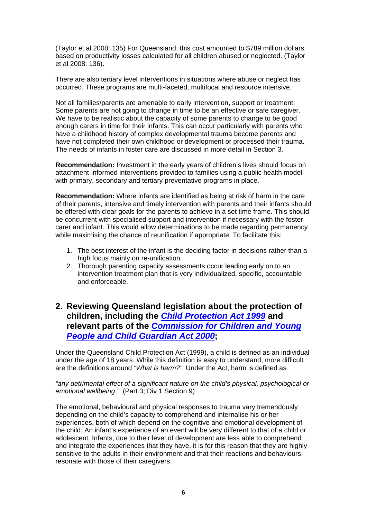(Taylor et al 2008: 135) For Queensland, this cost amounted to \$789 million dollars based on productivity losses calculated for all children abused or neglected. (Taylor et al 2008: 136).

There are also tertiary level interventions in situations where abuse or neglect has occurred. These programs are multi-faceted, multifocal and resource intensive.

Not all families/parents are amenable to early intervention, support or treatment. Some parents are not going to change in time to be an effective or safe caregiver. We have to be realistic about the capacity of some parents to change to be good enough carers in time for their infants. This can occur particularly with parents who have a childhood history of complex developmental trauma become parents and have not completed their own childhood or development or processed their trauma. The needs of infants in foster care are discussed in more detail in Section 3.

**Recommendation:** Investment in the early years of children's lives should focus on attachment-informed interventions provided to families using a public health model with primary, secondary and tertiary preventative programs in place.

**Recommendation:** Where infants are identified as being at risk of harm in the care of their parents, intensive and timely intervention with parents and their infants should be offered with clear goals for the parents to achieve in a set time frame. This should be concurrent with specialised support and intervention if necessary with the foster carer and infant. This would allow determinations to be made regarding permanency while maximising the chance of reunification if appropriate. To facilitate this:

- 1. The best interest of the infant is the deciding factor in decisions rather than a high focus mainly on re-unification.
- 2. Thorough parenting capacity assessments occur leading early on to an intervention treatment plan that is very individualized, specific, accountable and enforceable.

## **2. Reviewing Queensland legislation about the protection of children, including the** *[Child Protection Act 1999](http://www.legislation.qld.gov.au/legisltn/current/c/childprotecta99.pdf)* **and relevant parts of the** *[Commission for Children and Young](http://www.legislation.qld.gov.au/LEGISLTN/CURRENT/C/CommischildA00.pdf)  [People and Child Guardian Act 2000](http://www.legislation.qld.gov.au/LEGISLTN/CURRENT/C/CommischildA00.pdf)***;**

Under the Queensland Child Protection Act (1999), a child is defined as an individual under the age of 18 years. While this definition is easy to understand, more difficult are the definitions around *"What is harm?"* Under the Act, harm is defined as

*"any detrimental effect of a significant nature on the child's physical, psychological or emotional wellbeing."* (Part 3; Div 1 Section 9)

The emotional, behavioural and physical responses to trauma vary tremendously depending on the child's capacity to comprehend and internalise his or her experiences, both of which depend on the cognitive and emotional development of the child. An infant's experience of an event will be very different to that of a child or adolescent. Infants, due to their level of development are less able to comprehend and integrate the experiences that they have, it is for this reason that they are highly sensitive to the adults in their environment and that their reactions and behaviours resonate with those of their caregivers.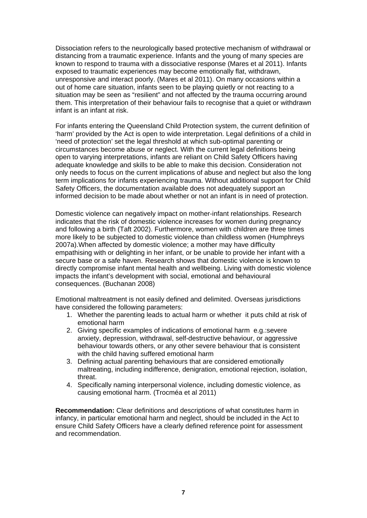Dissociation refers to the neurologically based protective mechanism of withdrawal or distancing from a traumatic experience. Infants and the young of many species are known to respond to trauma with a dissociative response (Mares et al 2011). Infants exposed to traumatic experiences may become emotionally flat, withdrawn, unresponsive and interact poorly. (Mares et al 2011). On many occasions within a out of home care situation, infants seen to be playing quietly or not reacting to a situation may be seen as "resilient" and not affected by the trauma occurring around them. This interpretation of their behaviour fails to recognise that a quiet or withdrawn infant is an infant at risk.

For infants entering the Queensland Child Protection system, the current definition of 'harm' provided by the Act is open to wide interpretation. Legal definitions of a child in 'need of protection' set the legal threshold at which sub-optimal parenting or circumstances become abuse or neglect. With the current legal definitions being open to varying interpretations, infants are reliant on Child Safety Officers having adequate knowledge and skills to be able to make this decision. Consideration not only needs to focus on the current implications of abuse and neglect but also the long term implications for infants experiencing trauma. Without additional support for Child Safety Officers, the documentation available does not adequately support an informed decision to be made about whether or not an infant is in need of protection.

Domestic violence can negatively impact on mother-infant relationships. Research indicates that the risk of domestic violence increases for women during pregnancy and following a birth (Taft 2002). Furthermore, women with children are three times more likely to be subjected to domestic violence than childless women (Humphreys 2007a).When affected by domestic violence; a mother may have difficulty empathising with or delighting in her infant, or be unable to provide her infant with a secure base or a safe haven. Research shows that domestic violence is known to directly compromise infant mental health and wellbeing. Living with domestic violence impacts the infant's development with social, emotional and behavioural consequences. (Buchanan 2008)

Emotional maltreatment is not easily defined and delimited. Overseas jurisdictions have considered the following parameters:

- 1. Whether the parenting leads to actual harm or whether it puts child at risk of emotional harm
- 2. Giving specific examples of indications of emotional harm e.g.:severe anxiety, depression, withdrawal, self-destructive behaviour, or aggressive behaviour towards others, or any other severe behaviour that is consistent with the child having suffered emotional harm
- 3. Defining actual parenting behaviours that are considered emotionally maltreating, including indifference, denigration, emotional rejection, isolation, threat.
- 4. Specifically naming interpersonal violence, including domestic violence, as causing emotional harm. (Trocméa et al 2011)

**Recommendation:** Clear definitions and descriptions of what constitutes harm in infancy, in particular emotional harm and neglect, should be included in the Act to ensure Child Safety Officers have a clearly defined reference point for assessment and recommendation.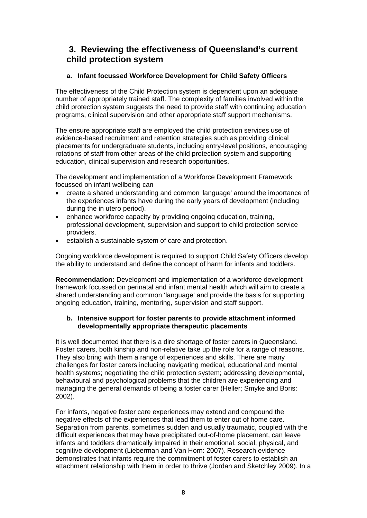## **3. Reviewing the effectiveness of Queensland's current child protection system**

### **a. Infant focussed Workforce Development for Child Safety Officers**

The effectiveness of the Child Protection system is dependent upon an adequate number of appropriately trained staff. The complexity of families involved within the child protection system suggests the need to provide staff with continuing education programs, clinical supervision and other appropriate staff support mechanisms.

The ensure appropriate staff are employed the child protection services use of evidence-based recruitment and retention strategies such as providing clinical placements for undergraduate students, including entry-level positions, encouraging rotations of staff from other areas of the child protection system and supporting education, clinical supervision and research opportunities.

The development and implementation of a Workforce Development Framework focussed on infant wellbeing can

- create a shared understanding and common 'language' around the importance of the experiences infants have during the early years of development (including during the in utero period).
- enhance workforce capacity by providing ongoing education, training, professional development, supervision and support to child protection service providers.
- **•** establish a sustainable system of care and protection.

Ongoing workforce development is required to support Child Safety Officers develop the ability to understand and define the concept of harm for infants and toddlers.

**Recommendation:** Development and implementation of a workforce development framework focussed on perinatal and infant mental health which will aim to create a shared understanding and common 'language' and provide the basis for supporting ongoing education, training, mentoring, supervision and staff support.

#### **b. Intensive support for foster parents to provide attachment informed developmentally appropriate therapeutic placements**

It is well documented that there is a dire shortage of foster carers in Queensland. Foster carers, both kinship and non-relative take up the role for a range of reasons. They also bring with them a range of experiences and skills. There are many challenges for foster carers including navigating medical, educational and mental health systems; negotiating the child protection system; addressing developmental, behavioural and psychological problems that the children are experiencing and managing the general demands of being a foster carer (Heller; Smyke and Boris: 2002).

For infants, negative foster care experiences may extend and compound the negative effects of the experiences that lead them to enter out of home care. Separation from parents, sometimes sudden and usually traumatic, coupled with the difficult experiences that may have precipitated out-of-home placement, can leave infants and toddlers dramatically impaired in their emotional, social, physical, and cognitive development (Lieberman and Van Horn: 2007). Research evidence demonstrates that infants require the commitment of foster carers to establish an attachment relationship with them in order to thrive (Jordan and Sketchley 2009). In a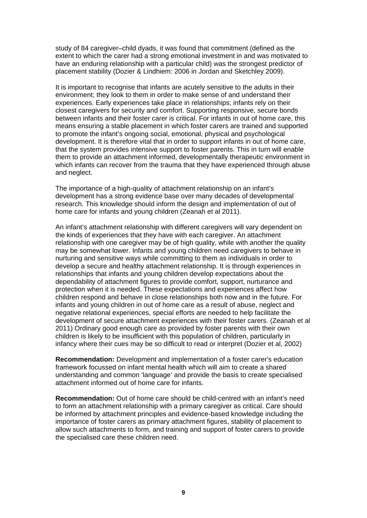study of 84 caregiver–child dyads, it was found that commitment (defined as the extent to which the carer had a strong emotional investment in and was motivated to have an enduring relationship with a particular child) was the strongest predictor of placement stability (Dozier & Lindhiem: 2006 in Jordan and Sketchley 2009).

It is important to recognise that infants are acutely sensitive to the adults in their environment; they look to them in order to make sense of and understand their experiences. Early experiences take place in relationships; infants rely on their closest caregivers for security and comfort. Supporting responsive, secure bonds between infants and their foster carer is critical. For infants in out of home care, this means ensuring a stable placement in which foster carers are trained and supported to promote the infant's ongoing social, emotional, physical and psychological development. It is therefore vital that in order to support infants in out of home care, that the system provides intensive support to foster parents. This in turn will enable them to provide an attachment informed, developmentally therapeutic environment in which infants can recover from the trauma that they have experienced through abuse and neglect.

The importance of a high-quality of attachment relationship on an infant's development has a strong evidence base over many decades of developmental research. This knowledge should inform the design and implementation of out of home care for infants and young children (Zeanah et al 2011).

An infant's attachment relationship with different caregivers will vary dependent on the kinds of experiences that they have with each caregiver. An attachment relationship with one caregiver may be of high quality, while with another the quality may be somewhat lower. Infants and young children need caregivers to behave in nurturing and sensitive ways while committing to them as individuals in order to develop a secure and healthy attachment relationship. It is through experiences in relationships that infants and young children develop expectations about the dependability of attachment figures to provide comfort, support, nurturance and protection when it is needed. These expectations and experiences affect how children respond and behave in close relationships both now and in the future. For infants and young children in out of home care as a result of abuse, neglect and negative relational experiences, special efforts are needed to help facilitate the development of secure attachment experiences with their foster carers. (Zeanah et al 2011) Ordinary good enough care as provided by foster parents with their own children is likely to be insufficient with this population of children, particularly in infancy where their cues may be so difficult to read or interpret (Dozier et al, 2002)

**Recommendation:** Development and implementation of a foster carer's education framework focussed on infant mental health which will aim to create a shared understanding and common 'language' and provide the basis to create specialised attachment informed out of home care for infants.

**Recommendation:** Out of home care should be child-centred with an infant's need to form an attachment relationship with a primary caregiver as critical. Care should be informed by attachment principles and evidence-based knowledge including the importance of foster carers as primary attachment figures, stability of placement to allow such attachments to form, and training and support of foster carers to provide the specialised care these children need.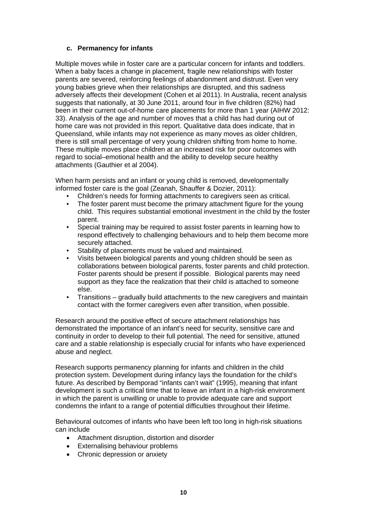#### **c. Permanency for infants**

Multiple moves while in foster care are a particular concern for infants and toddlers. When a baby faces a change in placement, fragile new relationships with foster parents are severed, reinforcing feelings of abandonment and distrust. Even very young babies grieve when their relationships are disrupted, and this sadness adversely affects their development (Cohen et al 2011). In Australia, recent analysis suggests that nationally, at 30 June 2011, around four in five children (82%) had been in their current out-of-home care placements for more than 1 year (AIHW 2012: 33). Analysis of the age and number of moves that a child has had during out of home care was not provided in this report. Qualitative data does indicate, that in Queensland, while infants may not experience as many moves as older children, there is still small percentage of very young children shifting from home to home. These multiple moves place children at an increased risk for poor outcomes with regard to social–emotional health and the ability to develop secure healthy attachments (Gauthier et al 2004).

When harm persists and an infant or young child is removed, developmentally informed foster care is the goal (Zeanah, Shauffer & Dozier, 2011):

- Children's needs for forming attachments to caregivers seen as critical.
- The foster parent must become the primary attachment figure for the young child. This requires substantial emotional investment in the child by the foster parent.
- Special training may be required to assist foster parents in learning how to respond effectively to challenging behaviours and to help them become more securely attached.
- Stability of placements must be valued and maintained.
- Visits between biological parents and young children should be seen as collaborations between biological parents, foster parents and child protection. Foster parents should be present if possible. Biological parents may need support as they face the realization that their child is attached to someone else.
- Transitions gradually build attachments to the new caregivers and maintain contact with the former caregivers even after transition, when possible.

Research around the positive effect of secure attachment relationships has demonstrated the importance of an infant's need for security, sensitive care and continuity in order to develop to their full potential. The need for sensitive, attuned care and a stable relationship is especially crucial for infants who have experienced abuse and neglect.

Research supports permanency planning for infants and children in the child protection system. Development during infancy lays the foundation for the child's future. As described by Bemporad "infants can't wait" (1995), meaning that infant development is such a critical time that to leave an infant in a high-risk environment in which the parent is unwilling or unable to provide adequate care and support condemns the infant to a range of potential difficulties throughout their lifetime.

Behavioural outcomes of infants who have been left too long in high-risk situations can include

- Attachment disruption, distortion and disorder
- Externalising behaviour problems
- Chronic depression or anxiety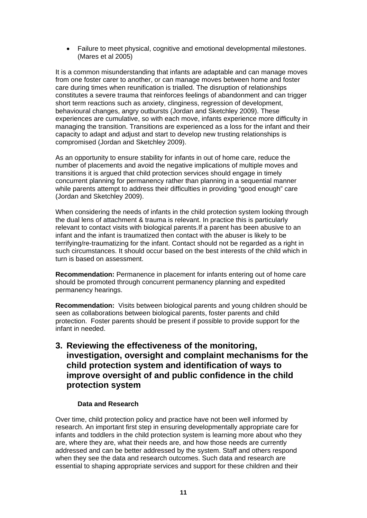Failure to meet physical, cognitive and emotional developmental milestones. (Mares et al 2005)

It is a common misunderstanding that infants are adaptable and can manage moves from one foster carer to another, or can manage moves between home and foster care during times when reunification is trialled. The disruption of relationships constitutes a severe trauma that reinforces feelings of abandonment and can trigger short term reactions such as anxiety, clinginess, regression of development, behavioural changes, angry outbursts (Jordan and Sketchley 2009). These experiences are cumulative, so with each move, infants experience more difficulty in managing the transition. Transitions are experienced as a loss for the infant and their capacity to adapt and adjust and start to develop new trusting relationships is compromised (Jordan and Sketchley 2009).

As an opportunity to ensure stability for infants in out of home care, reduce the number of placements and avoid the negative implications of multiple moves and transitions it is argued that child protection services should engage in timely concurrent planning for permanency rather than planning in a sequential manner while parents attempt to address their difficulties in providing "good enough" care (Jordan and Sketchley 2009).

When considering the needs of infants in the child protection system looking through the dual lens of attachment & trauma is relevant. In practice this is particularly relevant to contact visits with biological parents.If a parent has been abusive to an infant and the infant is traumatized then contact with the abuser is likely to be terrifying/re-traumatizing for the infant. Contact should not be regarded as a right in such circumstances. It should occur based on the best interests of the child which in turn is based on assessment.

**Recommendation:** Permanence in placement for infants entering out of home care should be promoted through concurrent permanency planning and expedited permanency hearings.

**Recommendation:** Visits between biological parents and young children should be seen as collaborations between biological parents, foster parents and child protection. Foster parents should be present if possible to provide support for the infant in needed.

## **3. Reviewing the effectiveness of the monitoring, investigation, oversight and complaint mechanisms for the child protection system and identification of ways to improve oversight of and public confidence in the child protection system**

#### **Data and Research**

Over time, child protection policy and practice have not been well informed by research. An important first step in ensuring developmentally appropriate care for infants and toddlers in the child protection system is learning more about who they are, where they are, what their needs are, and how those needs are currently addressed and can be better addressed by the system. Staff and others respond when they see the data and research outcomes. Such data and research are essential to shaping appropriate services and support for these children and their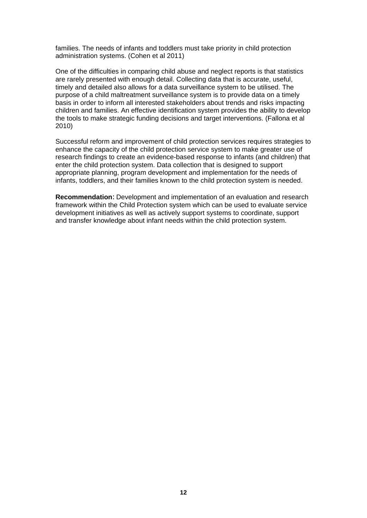families. The needs of infants and toddlers must take priority in child protection administration systems. (Cohen et al 2011)

One of the difficulties in comparing child abuse and neglect reports is that statistics are rarely presented with enough detail. Collecting data that is accurate, useful, timely and detailed also allows for a data surveillance system to be utilised. The purpose of a child maltreatment surveillance system is to provide data on a timely basis in order to inform all interested stakeholders about trends and risks impacting children and families. An effective identification system provides the ability to develop the tools to make strategic funding decisions and target interventions. (Fallona et al 2010)

Successful reform and improvement of child protection services requires strategies to enhance the capacity of the child protection service system to make greater use of research findings to create an evidence-based response to infants (and children) that enter the child protection system. Data collection that is designed to support appropriate planning, program development and implementation for the needs of infants, toddlers, and their families known to the child protection system is needed.

**Recommendation**: Development and implementation of an evaluation and research framework within the Child Protection system which can be used to evaluate service development initiatives as well as actively support systems to coordinate, support and transfer knowledge about infant needs within the child protection system.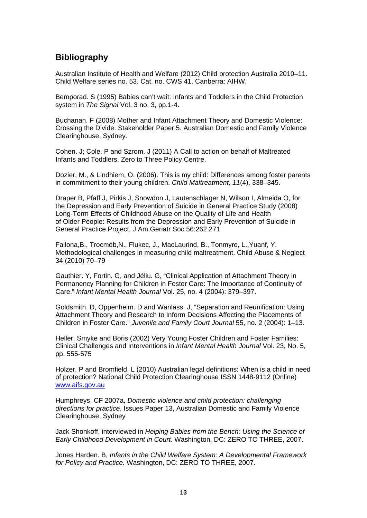## **Bibliography**

Australian Institute of Health and Welfare (2012) Child protection Australia 2010–11. Child Welfare series no. 53. Cat. no. CWS 41. Canberra: AIHW.

Bemporad. S (1995) Babies can't wait: Infants and Toddlers in the Child Protection system in *The Signal* Vol. 3 no. 3, pp.1-4.

Buchanan. F (2008) Mother and Infant Attachment Theory and Domestic Violence: Crossing the Divide. Stakeholder Paper 5. Australian Domestic and Family Violence Clearinghouse, Sydney.

Cohen. J; Cole. P and Szrom. J (2011) A Call to action on behalf of Maltreated Infants and Toddlers. Zero to Three Policy Centre.

Dozier, M., & Lindhiem, O. (2006). This is my child: Differences among foster parents in commitment to their young children. *Child Maltreatment*, *11*(4), 338–345.

Draper B, Pfaff J, Pirkis J, Snowdon J, Lautenschlager N, Wilson I, Almeida O, for the Depression and Early Prevention of Suicide in General Practice Study (2008) Long-Term Effects of Childhood Abuse on the Quality of Life and Health of Older People: Results from the Depression and Early Prevention of Suicide in General Practice Project, J Am Geriatr Soc 56:262 271.

Fallona,B., Trocméb,N., Flukec, J., MacLaurind, B., Tonmyre, L.,Yuanf, Y. Methodological challenges in measuring child maltreatment. Child Abuse & Neglect 34 (2010) 70–79

Gauthier. Y, Fortin. G, and Jéliu. G, "Clinical Application of Attachment Theory in Permanency Planning for Children in Foster Care: The Importance of Continuity of Care." *Infant Mental Health Journal* Vol. 25, no. 4 (2004): 379–397.

Goldsmith. D, Oppenheim. D and Wanlass. J, "Separation and Reunification: Using Attachment Theory and Research to Inform Decisions Affecting the Placements of Children in Foster Care." *Juvenile and Family Court Journal* 55, no. 2 (2004): 1–13.

Heller, Smyke and Boris (2002) Very Young Foster Children and Foster Families: Clinical Challenges and Interventions in *Infant Mental Health Journal* Vol. 23, No. 5, pp. 555-575

Holzer, P and Bromfield, L (2010) Australian legal definitions: When is a child in need of protection? National Child Protection Clearinghouse ISSN 1448-9112 (Online) [www.aifs.gov.au](http://www.aifs.gov.au/)

Humphreys, CF 2007a, *Domestic violence and child protection: challenging directions for practice*, Issues Paper 13, Australian Domestic and Family Violence Clearinghouse, Sydney

Jack Shonkoff, interviewed in *Helping Babies from the Bench: Using the Science of Early Childhood Development in Court*. Washington, DC: ZERO TO THREE, 2007.

Jones Harden. B, *Infants in the Child Welfare System: A Developmental Framework for Policy and Practice.* Washington, DC: ZERO TO THREE, 2007.